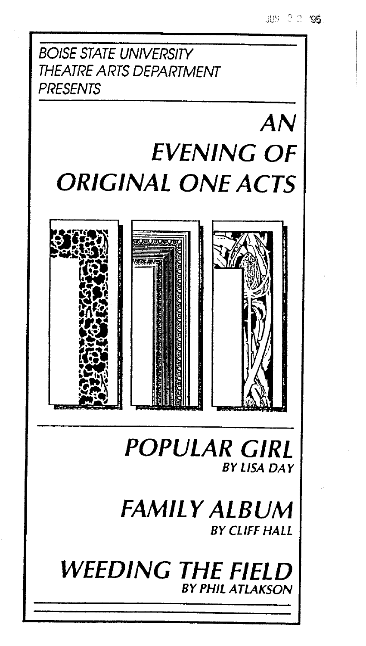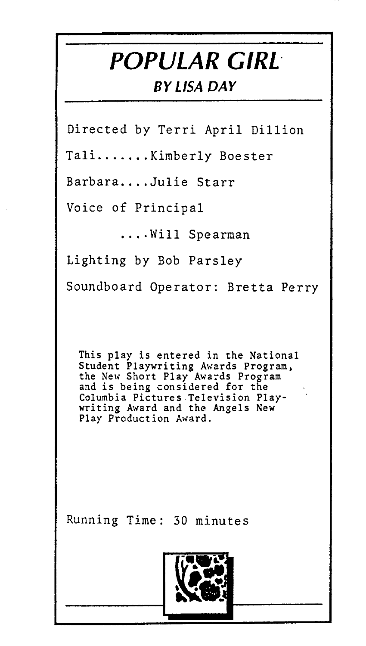## **POPULAR GIRL**

#### **BY LISA DAY**

Directed by Terri April Dillion

Tali.......Kimberly Boester

Barbara....Julie Starr

Voice of Principal

.... Will Spearman

Lighting by Bob Parsley Soundboard Operator: Bretta Perry

This play is entered in the National Student Playwriting Awards Program,<br>the New Short Play Awards Program<br>and is being considered for the Columbia Pictures Television Playwriting Award and the Angels New Play Production Award.

Running Time: 30 minutes

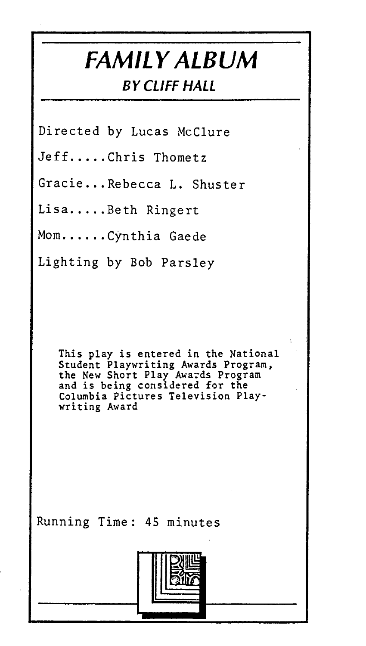### **FAMILY ALBUM BY CLIFF HALL**

Directed by Lucas McClure

Jeff.....Chris Thometz

Gracie ... Rebecca L. Shuster

Lisa..... Beth Ringert

Mom......Cynthia Gaede

Lighting by Bob Parsley

This play is entered in the National Student Playwriting Awards Program, the New Short Play Awards Program and is being considered for the Columbia Pictures Television Play-<br>writing Award

Running Time: 45 minutes

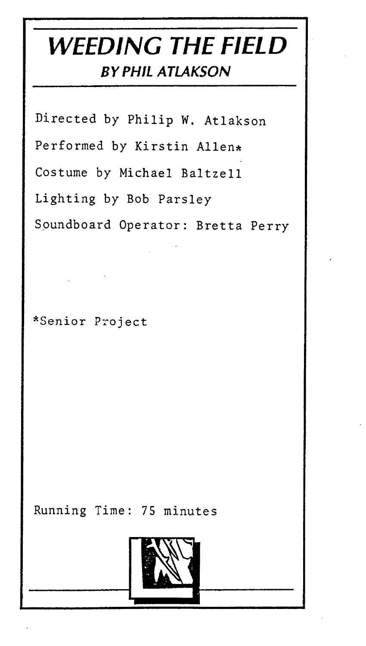### **WEEDING THE FIELD**  *BY PHIL ATLAKSON*

Directed by Philip W. Atlakson Performed by Kirstin Allen\* Costume by Michael Baltzell Lighting by Bob Parsley Spundboard Operator: Bretta Perry

\*Senior Project

Running Time: 75 minutes

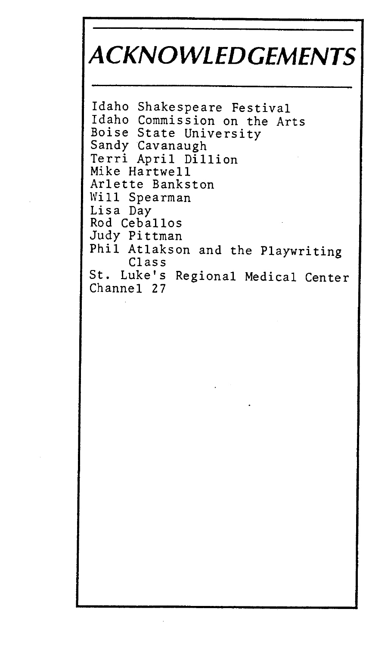# **ACKNOWLEDGEMENTS**

```
Idaho Shakespeare Festival 
Idaho Commission on the Arts<br>Boise State University
Sandy Cavanaugh<br>Terri April Dillion
Mike Hartwell 
Arlette Bankston 
Will Spearman<br>Lisa Day
Rod Ceballos
Judy Pittman 
Phil Atlakson and the Playwriting Class 
St. Luke's Regional Medical Center 
Channel 27
```